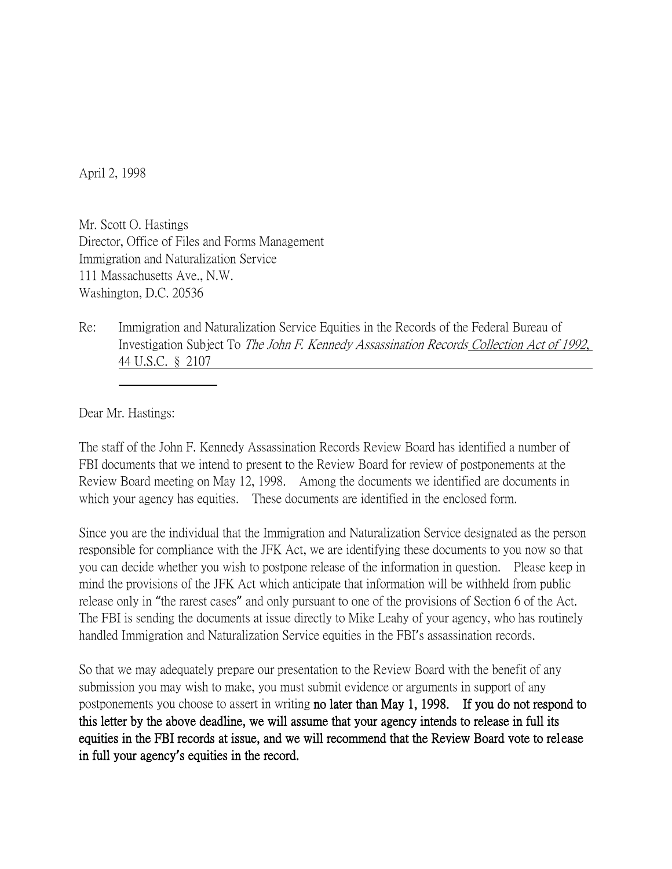April 2, 1998

Mr. Scott O. Hastings Director, Office of Files and Forms Management Immigration and Naturalization Service 111 Massachusetts Ave., N.W. Washington, D.C. 20536

Re: Immigration and Naturalization Service Equities in the Records of the Federal Bureau of Investigation Subject To The John F. Kennedy Assassination Records Collection Act of 1992, 44 U.S.C. § 2107

Dear Mr. Hastings:

The staff of the John F. Kennedy Assassination Records Review Board has identified a number of FBI documents that we intend to present to the Review Board for review of postponements at the Review Board meeting on May 12, 1998. Among the documents we identified are documents in which your agency has equities. These documents are identified in the enclosed form.

Since you are the individual that the Immigration and Naturalization Service designated as the person responsible for compliance with the JFK Act, we are identifying these documents to you now so that you can decide whether you wish to postpone release of the information in question. Please keep in mind the provisions of the JFK Act which anticipate that information will be withheld from public release only in "the rarest cases" and only pursuant to one of the provisions of Section 6 of the Act. The FBI is sending the documents at issue directly to Mike Leahy of your agency, who has routinely handled Immigration and Naturalization Service equities in the FBI's assassination records.

So that we may adequately prepare our presentation to the Review Board with the benefit of any submission you may wish to make, you must submit evidence or arguments in support of any postponements you choose to assert in writing no later than May 1, 1998. If you do not respond to this letter by the above deadline, we will assume that your agency intends to release in full its equities in the FBI records at issue, and we will recommend that the Review Board vote to release in full your agency**'**s equities in the record.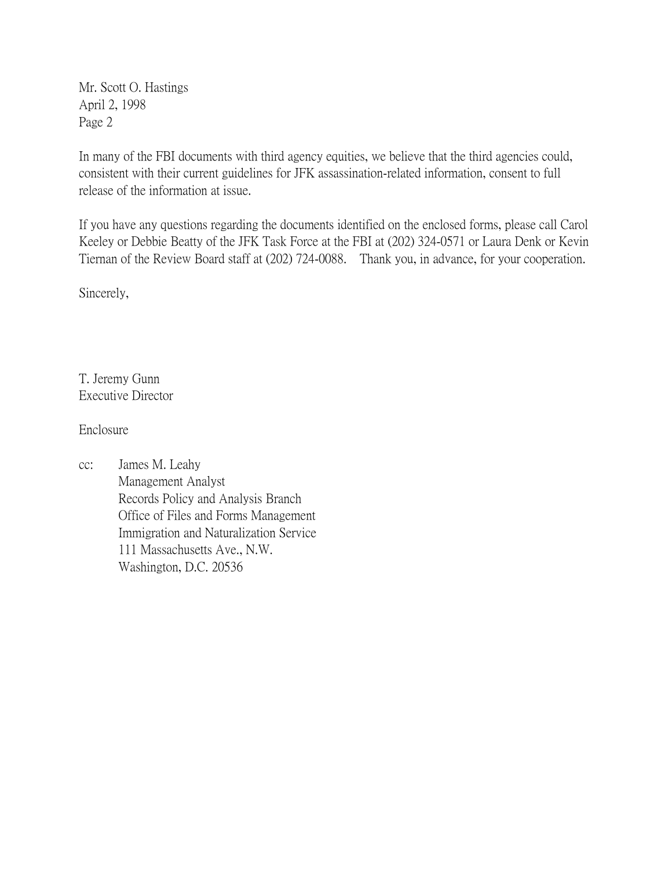Mr. Scott O. Hastings April 2, 1998 Page 2

In many of the FBI documents with third agency equities, we believe that the third agencies could, consistent with their current guidelines for JFK assassination-related information, consent to full release of the information at issue.

If you have any questions regarding the documents identified on the enclosed forms, please call Carol Keeley or Debbie Beatty of the JFK Task Force at the FBI at (202) 324-0571 or Laura Denk or Kevin Tiernan of the Review Board staff at (202) 724-0088. Thank you, in advance, for your cooperation.

Sincerely,

T. Jeremy Gunn Executive Director

Enclosure

cc: James M. Leahy Management Analyst Records Policy and Analysis Branch Office of Files and Forms Management Immigration and Naturalization Service 111 Massachusetts Ave., N.W. Washington, D.C. 20536